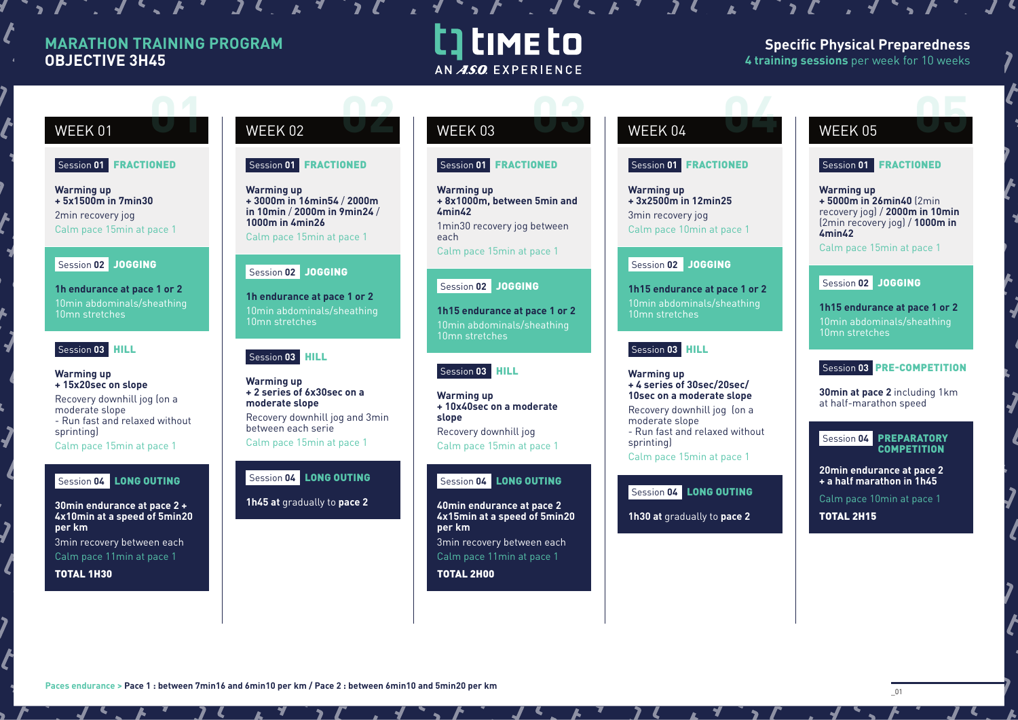# **MARATHON TRAINING PROGRAM OBJECTIVE 3H45**

# t time to AN ASO EXPERIENCE

# **Specific Physical Preparedness 4 training sessions** per week for 10 weeks

## Session **01** FRACTIONED

**Warming up + 5x1500m in 7min30** 2min recovery jog Calm pace 15min at pace 1

## Session 02 JOGGING

**1h endurance at pace 1 or 2** 10min abdominals/sheathing 10mn stretches

### Session **03** HILL

### **Warming up + 15x20sec on slope**

Recovery downhill jog (on a moderate slope - Run fast and relaxed without sprinting)

Calm pace 15min at pace 1

# Session **04** LONG OUTING

**30min endurance at pace 2 + 4x10min at a speed of 5min20 per km**  3min recovery between each Calm pace 11min at pace 1

TOTAL 1H30

# WEEK 01 WEEK 02 WEEK 03 WEEK 04 WEEK 05 **02 0 02 03 02 03 02 03 02 03 02 03 02 04 05 05 05 05**

## Session **01** FRACTIONED

**Warming up + 3000m in 16min54** / **2000m in 10min** / **2000m in 9min24** / **1000m in 4min26**

Calm pace 15min at pace 1

# Session **02** JOGGING

**1h endurance at pace 1 or 2** 10min abdominals/sheathing 10mn stretches

# Session 03 **HILL**

**Warming up + 2 series of 6x30sec on a moderate slope**  Recovery downhill jog and 3min

between each serie Calm pace 15min at pace 1

# Session **04** LONG OUTING

**1h45 at** gradually to **pace 2**



## Session **01** FRACTIONED

**Warming up + 8x1000m, between 5min and 4min42**  1min30 recovery jog between

each Calm pace 15min at pace 1

# Session 02 JOGGING

**1h15 endurance at pace 1 or 2** 10min abdominals/sheathing 10mn stretches

# Session **03** HILL

**Warming up + 10x40sec on a moderate slope** Recovery downhill jog Calm pace 15min at pace 1

## Session **04** LONG OUTING

**40min endurance at pace 2 4x15min at a speed of 5min20 per km** 3min recovery between each Calm pace 11min at pace 1

TOTAL 2H00

 $\mathcal{L}$ ,  $\mathcal{L}$ ,  $\mathcal{L}$ ,  $\mathcal{L}$ ,  $\mathcal{L}$ ,  $\mathcal{L}$ ,  $\mathcal{L}$ ,  $\mathcal{L}$ ,  $\mathcal{L}$ ,  $\mathcal{L}$ ,  $\mathcal{L}$ ,  $\mathcal{L}$ ,  $\mathcal{L}$ ,  $\mathcal{L}$ ,  $\mathcal{L}$ ,  $\mathcal{L}$ ,  $\mathcal{L}$ ,  $\mathcal{L}$ ,  $\mathcal{L}$ ,  $\mathcal{L}$ ,  $\mathcal{L}$ ,  $\mathcal{L}$ ,

# Session **01** FRACTIONED

**Warming up + 3x2500m in 12min25**  3min recovery jog Calm pace 10min at pace 1

# Session **02** JOGGING

**1h15 endurance at pace 1 or 2** 10min abdominals/sheathing 10mn stretches

# Session **03** HILL

**Warming up + 4 series of 30sec/20sec/ 10sec on a moderate slope** Recovery downhill jog (on a moderate slope - Run fast and relaxed without sprinting Calm pace 15min at pace 1

# Session **04** LONG OUTING

**1h30 at** gradually to **pace 2**

# Session **01** FRACTIONED

**Warming up + 5000m in 26min40** (2min recovery jog) / **2000m in 10min**  (2min recovery jog) / **1000m in 4min42**

Calm pace 15min at pace 1

# Session **02** JOGGING

**1h15 endurance at pace 1 or 2** 10min abdominals/sheathing 10mn stretches

# Session **03** PRE-COMPETITION

**30min at pace 2** including 1km at half-marathon speed

### Session **04** PREPARATORY **COMPETITION**

**20min endurance at pace 2 + a half marathon in 1h45** 

Calm pace 10min at pace 1 TOTAL 2H15